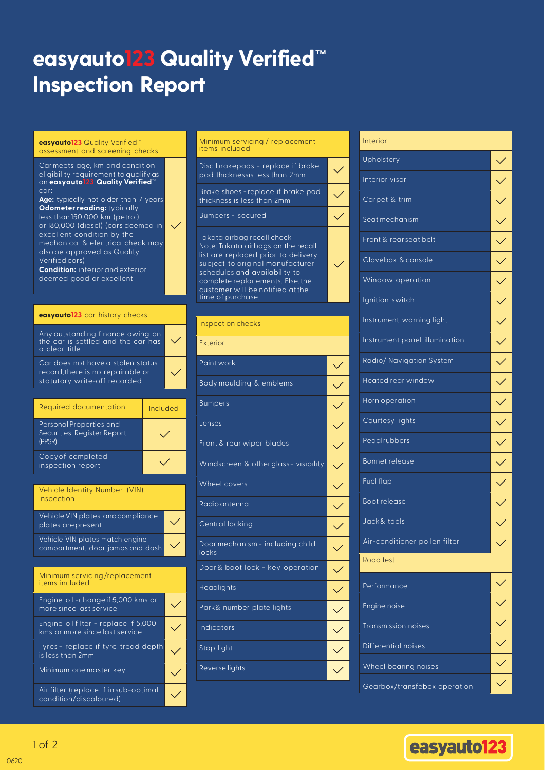# **easyauto123Quality Verified™ easyauto123 Quality Verified™ Inspection Report Inspection Report**

#### **easyauto123 Quality Verified™ easyauto123** Quality Verified™ **assessment and screening checks** assessment and screening checks

#### Car meets age,km and condition eligibility requirement to qualify as eligibility requirement to qualify as be an easyauto123 Quality an **easyauto123 Quality Verified**™ Car meets age, km and condition car:

Verified™ **Age:** typically not older than 7 years car: **Odometer reading:** typically **Cadmeter reading:** typically<br>less than 150,000 km (petrol) ess mannoo,ooo kin (petrol)<br>or 180,000 (diesel) (cars deemed in or loo, ooo (diesel) (cars dee excellent condition by the<br>resharisel & cleatrical she or 180,000 (diesel) (cars deemed to the cars deep the cars deep the cars of the cars of the cars of the cars of the cars of the cars of the cars of the cars of the cars of the cars of the cars of the cars of the cars of th alsobe approved as Quality<br>... .... vermed cars)<br>The theory of the theory of the secondition by the secondition by the secondition of the secondition of the secondition of the secondition of the secondition of the secondition of the secondition of the second mechanical & electrical check may Verified cars)

**Condition:** interior and exterior deemed good or excellent

### - Condition: interior and exterior **easyauto123** car history checks

| Any outstanding finance owing on<br>the car is settled and the car has<br>a clear title                |  |
|--------------------------------------------------------------------------------------------------------|--|
| Car does not have a stolen status<br>record, there is no repairable or<br>statutory write-off recorded |  |

| <b>Required documentation</b>                                    | Included |
|------------------------------------------------------------------|----------|
| Personal Properties and<br>Securities Register Report<br>(PPSR)  |          |
| Copy of completed<br>inspection report                           |          |
|                                                                  |          |
| Vehicle Identity Number (VIN)<br><i><u><b>Inspection</b></u></i> |          |
|                                                                  |          |

| Vehicle VIN plates and compliance<br>plates are present             |  |
|---------------------------------------------------------------------|--|
| Vehicle VIN plates match engine<br>compartment, door jambs and dash |  |



### **Minimum** servicing / replacement items items included

Disc brake pads - replace if brake Disc brakepads - replace if brake pad thicknessis less than 2mm

Brake shoes - replace if brake pad Brake shoes - replace if brake pad thickness is less than 2mm thickness is less than 2mm

 $\checkmark$ 

 $\checkmark$ 

Bumpers - secured Bumpers - secured

Takata airbag recall check Takata airbag recall check Note: Takata airbags on the recall Note: Takata airbags on the recall liote, rukutu ulibugs on the rec list are replaced prior to delivery<br>——————————————————— schedules and availability to subject to original manufacturer schedules and availability to  $\hbox{complete replacements. Else, the} \label{eq:complex}$ customer will be<br>time of purchase. schedules and availability to customer will be notified atthe

## **Inspection checks** Inspection checks

**Exterior** Exterior

| Paint work                                |  |
|-------------------------------------------|--|
| Body moulding & emblems                   |  |
| <b>Bumpers</b>                            |  |
| Lenses                                    |  |
| Front & rear wiper blades                 |  |
| Windscreen & other glass-visibility       |  |
| Wheel covers                              |  |
| Radio antenna                             |  |
| Central locking                           |  |
| Door mechanism - including child<br>locks |  |
| Door & boot lock - key operation          |  |
| Headlights                                |  |
| Park& number plate lights                 |  |
| <b>Indicators</b>                         |  |
| Stop light                                |  |
| Reverse lights                            |  |
|                                           |  |

## **Interior** Interior Upholstery Upholstery Interior visor Interior visor Carpet & trim Carpet & trim  $\checkmark$ Seat mechanism  $\checkmark$ Front & rear seat belt SeatmechanismFront &rear seat belt  $\checkmark$ Glove box & console Glovebox & console  $\checkmark$ Window operation Window operation  $\checkmark$  $\checkmark$ Ignition switch Ignition switch  $\checkmark$ Instrument warning light Instrument warning light  $\checkmark$ Instrument panel illumination Radio/Navigation System Radio/ Navigation System  $\checkmark$ Heated rear window Heated rear window  $\checkmark$ Horn operation Hornoperation  $\checkmark$ Courtesy lights Courtesy lights  $\checkmark$  $\checkmark$ Pedalrubbers Pedalrubbers  $\checkmark$ Bonnet release Bonnet releaseFuel flap Fuel flap  $\checkmark$ Boot release Boot release<br>Jack& tools  $\checkmark$  $\checkmark$ Air-conditioner pollen filter Air-conditioner pollen filter  $\checkmark$ **Road test** Road test Performance Performance  $\checkmark$ Engine noise Engine noise<br>Transmission noises Differential noises Differential noises  $\checkmark$ Wheel bearing noises Wheel bearing noises Gearbox/transfebox operation



Minimum one master key